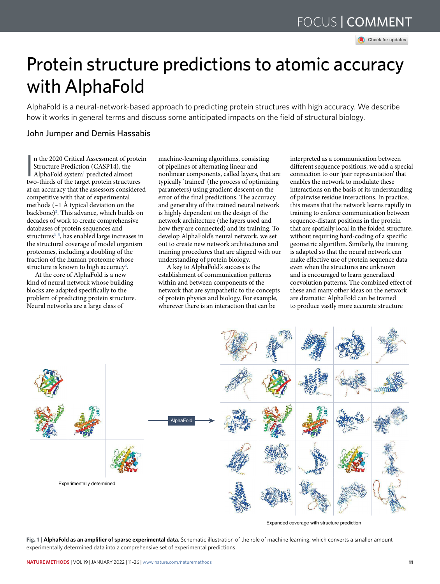Check for updates

# Protein structure predictions to atomic accuracy with AlphaFold

AlphaFold is a neural-network-based approach to predicting protein structures with high accuracy. We describe how it works in general terms and discuss some anticipated impacts on the field of structural biology.

# John Jumper and Demis Hassabis

n the 2020 Critical Assessment of proteins (Critical Assessment of proteins tructure Prediction (CASP14), the AlphaFold system<sup>1</sup> predicted almost two-thirds of the target protein structures n the 2020 Critical Assessment of protein Structure Prediction (CASP14), the AlphaFold system<sup>1</sup> predicted almost at an accuracy that the assessors considered competitive with that of experimental methods (~1 Å typical deviation on the backbone)<sup>2</sup>. This advance, which builds on decades of work to create comprehensive databases of protein sequences and structures<sup>3-5</sup>, has enabled large increases in the structural coverage of model organism proteomes, including a doubling of the fraction of the human proteome whose structure is known to high accuracy<sup>6</sup>.

At the core of AlphaFold is a new kind of neural network whose building blocks are adapted specifically to the problem of predicting protein structure. Neural networks are a large class of

machine-learning algorithms, consisting of pipelines of alternating linear and nonlinear components, called layers, that are typically 'trained' (the process of optimizing parameters) using gradient descent on the error of the final predictions. The accuracy and generality of the trained neural network is highly dependent on the design of the network architecture (the layers used and how they are connected) and its training. To develop AlphaFold's neural network, we set out to create new network architectures and training procedures that are aligned with our understanding of protein biology.

A key to AlphaFold's success is the establishment of communication patterns within and between components of the network that are sympathetic to the concepts of protein physics and biology. For example, wherever there is an interaction that can be

interpreted as a communication between different sequence positions, we add a special connection to our 'pair representation' that enables the network to modulate these interactions on the basis of its understanding of pairwise residue interactions. In practice, this means that the network learns rapidly in training to enforce communication between sequence-distant positions in the protein that are spatially local in the folded structure, without requiring hard-coding of a specific geometric algorithm. Similarly, the training is adapted so that the neural network can make effective use of protein sequence data even when the structures are unknown and is encouraged to learn generalized coevolution patterns. The combined effect of these and many other ideas on the network are dramatic: AlphaFold can be trained to produce vastly more accurate structure



Expanded coverage with structure prediction

**Fig. 1 |AlphaFold as an amplifier of sparse experimental data.** Schematic illustration of the role of machine learning, which converts a smaller amount experimentally determined data into a comprehensive set of experimental predictions.